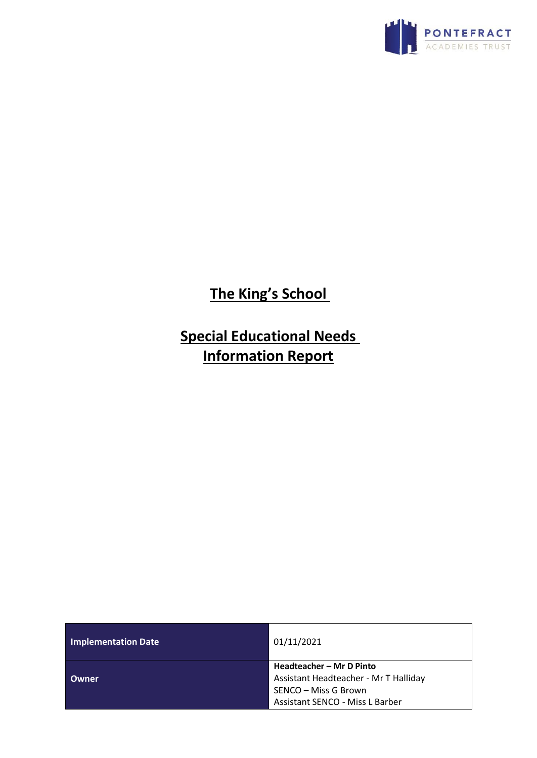

**The King's School** 

**Special Educational Needs Information Report**

| <b>Implementation Date</b> | 01/11/2021                            |
|----------------------------|---------------------------------------|
|                            | Headteacher - Mr D Pinto              |
| Owner                      | Assistant Headteacher - Mr T Halliday |
|                            | SENCO – Miss G Brown                  |
|                            | Assistant SENCO - Miss L Barber       |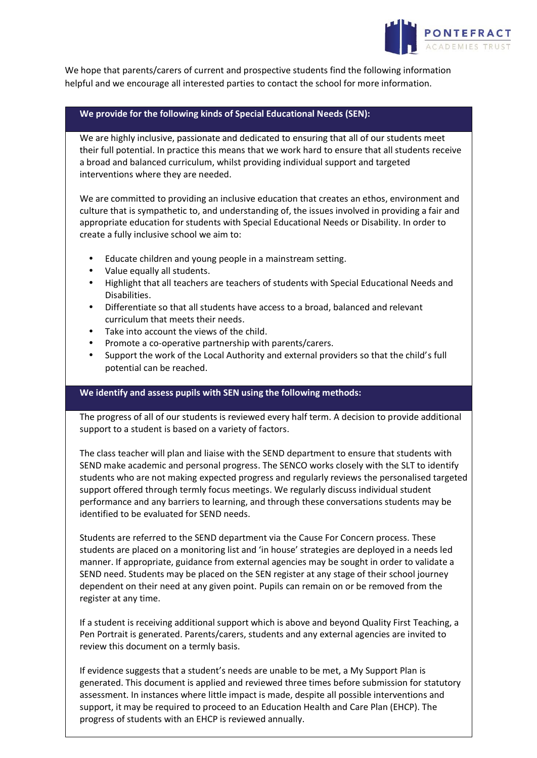

We hope that parents/carers of current and prospective students find the following information helpful and we encourage all interested parties to contact the school for more information.

## **We provide for the following kinds of Special Educational Needs (SEN):**

We are highly inclusive, passionate and dedicated to ensuring that all of our students meet their full potential. In practice this means that we work hard to ensure that all students receive a broad and balanced curriculum, whilst providing individual support and targeted interventions where they are needed.

We are committed to providing an inclusive education that creates an ethos, environment and culture that is sympathetic to, and understanding of, the issues involved in providing a fair and appropriate education for students with Special Educational Needs or Disability. In order to create a fully inclusive school we aim to:

- Educate children and young people in a mainstream setting.
- Value equally all students.
- Highlight that all teachers are teachers of students with Special Educational Needs and Disabilities.
- Differentiate so that all students have access to a broad, balanced and relevant curriculum that meets their needs.
- Take into account the views of the child.
- Promote a co-operative partnership with parents/carers.
- Support the work of the Local Authority and external providers so that the child's full potential can be reached.

### **We identify and assess pupils with SEN using the following methods:**

The progress of all of our students is reviewed every half term. A decision to provide additional support to a student is based on a variety of factors.

The class teacher will plan and liaise with the SEND department to ensure that students with SEND make academic and personal progress. The SENCO works closely with the SLT to identify students who are not making expected progress and regularly reviews the personalised targeted support offered through termly focus meetings. We regularly discuss individual student performance and any barriers to learning, and through these conversations students may be identified to be evaluated for SEND needs.

Students are referred to the SEND department via the Cause For Concern process. These students are placed on a monitoring list and 'in house' strategies are deployed in a needs led manner. If appropriate, guidance from external agencies may be sought in order to validate a SEND need. Students may be placed on the SEN register at any stage of their school journey dependent on their need at any given point. Pupils can remain on or be removed from the register at any time.

If a student is receiving additional support which is above and beyond Quality First Teaching, a Pen Portrait is generated. Parents/carers, students and any external agencies are invited to review this document on a termly basis.

If evidence suggests that a student's needs are unable to be met, a My Support Plan is generated. This document is applied and reviewed three times before submission for statutory assessment. In instances where little impact is made, despite all possible interventions and support, it may be required to proceed to an Education Health and Care Plan (EHCP). The progress of students with an EHCP is reviewed annually.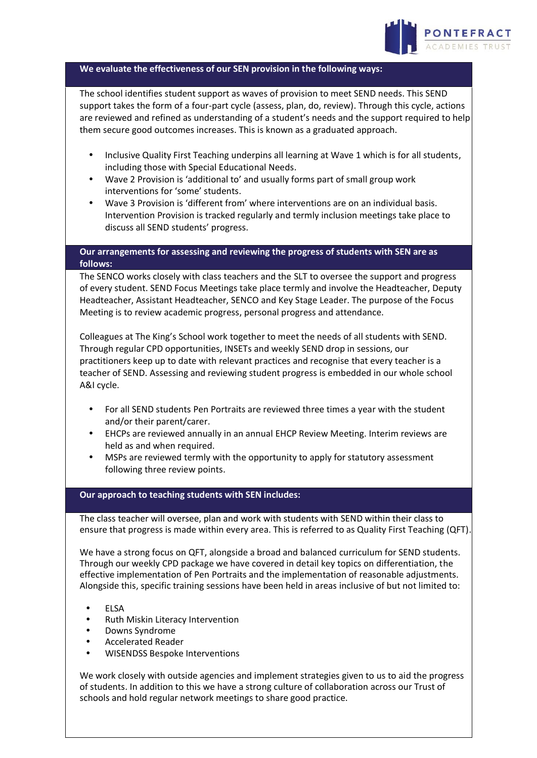

### **We evaluate the effectiveness of our SEN provision in the following ways:**

The school identifies student support as waves of provision to meet SEND needs. This SEND support takes the form of a four-part cycle (assess, plan, do, review). Through this cycle, actions are reviewed and refined as understanding of a student's needs and the support required to help them secure good outcomes increases. This is known as a graduated approach.

- Inclusive Quality First Teaching underpins all learning at Wave 1 which is for all students, including those with Special Educational Needs.
- Wave 2 Provision is 'additional to' and usually forms part of small group work interventions for 'some' students.
- Wave 3 Provision is 'different from' where interventions are on an individual basis. Intervention Provision is tracked regularly and termly inclusion meetings take place to discuss all SEND students' progress.

## **Our arrangements for assessing and reviewing the progress of students with SEN are as follows:**

The SENCO works closely with class teachers and the SLT to oversee the support and progress of every student. SEND Focus Meetings take place termly and involve the Headteacher, Deputy Headteacher, Assistant Headteacher, SENCO and Key Stage Leader. The purpose of the Focus Meeting is to review academic progress, personal progress and attendance.

Colleagues at The King's School work together to meet the needs of all students with SEND. Through regular CPD opportunities, INSETs and weekly SEND drop in sessions, our practitioners keep up to date with relevant practices and recognise that every teacher is a teacher of SEND. Assessing and reviewing student progress is embedded in our whole school A&I cycle.

- For all SEND students Pen Portraits are reviewed three times a year with the student and/or their parent/carer.
- EHCPs are reviewed annually in an annual EHCP Review Meeting. Interim reviews are held as and when required.
- MSPs are reviewed termly with the opportunity to apply for statutory assessment following three review points.

#### **Our approach to teaching students with SEN includes:**

The class teacher will oversee, plan and work with students with SEND within their class to ensure that progress is made within every area. This is referred to as Quality First Teaching (QFT).

We have a strong focus on QFT, alongside a broad and balanced curriculum for SEND students. Through our weekly CPD package we have covered in detail key topics on differentiation, the effective implementation of Pen Portraits and the implementation of reasonable adjustments. Alongside this, specific training sessions have been held in areas inclusive of but not limited to:

- ELSA
- Ruth Miskin Literacy Intervention
- Downs Syndrome
- Accelerated Reader
- WISENDSS Bespoke Interventions

We work closely with outside agencies and implement strategies given to us to aid the progress of students. In addition to this we have a strong culture of collaboration across our Trust of schools and hold regular network meetings to share good practice.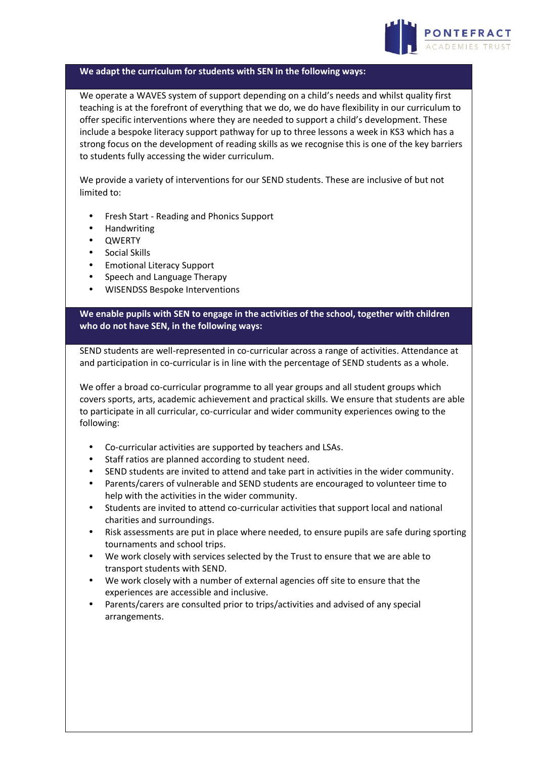

#### **We adapt the curriculum for students with SEN in the following ways:**

We operate a WAVES system of support depending on a child's needs and whilst quality first teaching is at the forefront of everything that we do, we do have flexibility in our curriculum to offer specific interventions where they are needed to support a child's development. These include a bespoke literacy support pathway for up to three lessons a week in KS3 which has a strong focus on the development of reading skills as we recognise this is one of the key barriers to students fully accessing the wider curriculum.

We provide a variety of interventions for our SEND students. These are inclusive of but not limited to:

- Fresh Start Reading and Phonics Support
- Handwriting
- QWERTY
- Social Skills
- Emotional Literacy Support
- Speech and Language Therapy
- WISENDSS Bespoke Interventions

**We enable pupils with SEN to engage in the activities of the school, together with children who do not have SEN, in the following ways:**

SEND students are well-represented in co-curricular across a range of activities. Attendance at and participation in co-curricular is in line with the percentage of SEND students as a whole.

We offer a broad co-curricular programme to all year groups and all student groups which covers sports, arts, academic achievement and practical skills. We ensure that students are able to participate in all curricular, co-curricular and wider community experiences owing to the following:

- Co-curricular activities are supported by teachers and LSAs.
- Staff ratios are planned according to student need.
- SEND students are invited to attend and take part in activities in the wider community.
- Parents/carers of vulnerable and SEND students are encouraged to volunteer time to help with the activities in the wider community.
- Students are invited to attend co-curricular activities that support local and national charities and surroundings.
- Risk assessments are put in place where needed, to ensure pupils are safe during sporting tournaments and school trips.
- We work closely with services selected by the Trust to ensure that we are able to transport students with SEND.
- We work closely with a number of external agencies off site to ensure that the experiences are accessible and inclusive.
- Parents/carers are consulted prior to trips/activities and advised of any special arrangements.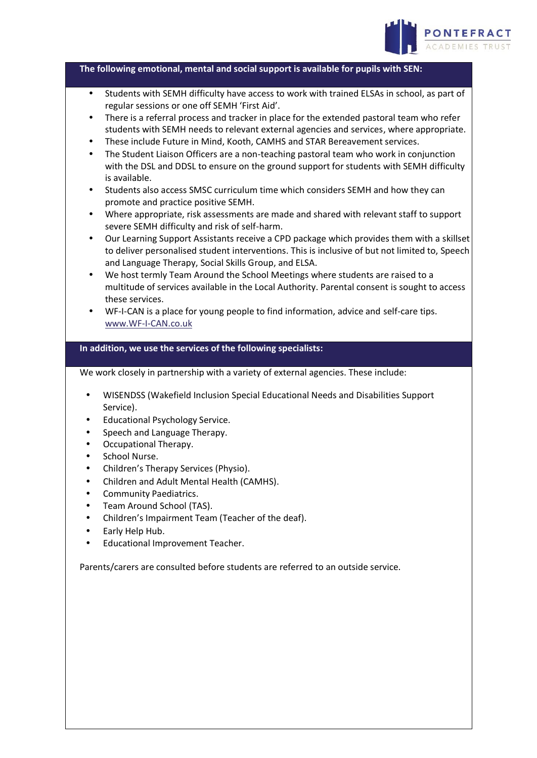

**The following emotional, mental and social support is available for pupils with SEN:**

- Students with SEMH difficulty have access to work with trained ELSAs in school, as part of regular sessions or one off SEMH 'First Aid'.
- There is a referral process and tracker in place for the extended pastoral team who refer students with SEMH needs to relevant external agencies and services, where appropriate.
- These include Future in Mind, Kooth, CAMHS and STAR Bereavement services.
- The Student Liaison Officers are a non-teaching pastoral team who work in conjunction with the DSL and DDSL to ensure on the ground support for students with SEMH difficulty is available.
- Students also access SMSC curriculum time which considers SEMH and how they can promote and practice positive SEMH.
- Where appropriate, risk assessments are made and shared with relevant staff to support severe SEMH difficulty and risk of self-harm.
- Our Learning Support Assistants receive a CPD package which provides them with a skillset to deliver personalised student interventions. This is inclusive of but not limited to, Speech and Language Therapy, Social Skills Group, and ELSA.
- We host termly Team Around the School Meetings where students are raised to a multitude of services available in the Local Authority. Parental consent is sought to access these services.
- WF-I-CAN is a place for young people to find information, advice and self-care tips. [www.WF-I-CAN.co.uk](http://www.wf-i-can.co.uk/)

### **In addition, we use the services of the following specialists:**

We work closely in partnership with a variety of external agencies. These include:

- WISENDSS (Wakefield Inclusion Special Educational Needs and Disabilities Support Service).
- Educational Psychology Service.
- Speech and Language Therapy.
- Occupational Therapy.
- School Nurse.
- Children's Therapy Services (Physio).
- Children and Adult Mental Health (CAMHS).
- Community Paediatrics.
- Team Around School (TAS).
- Children's Impairment Team (Teacher of the deaf).
- Early Help Hub.
- Educational Improvement Teacher.

Parents/carers are consulted before students are referred to an outside service.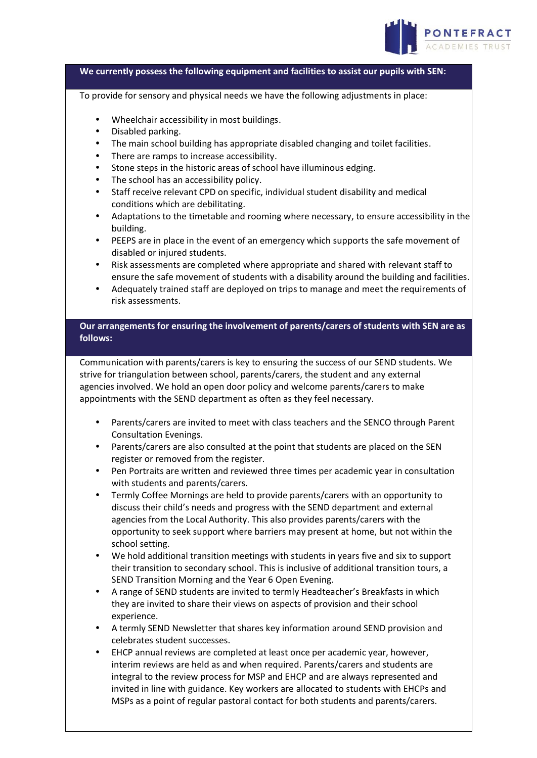

#### **We currently possess the following equipment and facilities to assist our pupils with SEN:**

To provide for sensory and physical needs we have the following adjustments in place:

- Wheelchair accessibility in most buildings.
- Disabled parking.
- The main school building has appropriate disabled changing and toilet facilities.
- There are ramps to increase accessibility.
- Stone steps in the historic areas of school have illuminous edging.
- The school has an accessibility policy.
- Staff receive relevant CPD on specific, individual student disability and medical conditions which are debilitating.
- Adaptations to the timetable and rooming where necessary, to ensure accessibility in the building.
- PEEPS are in place in the event of an emergency which supports the safe movement of disabled or injured students.
- Risk assessments are completed where appropriate and shared with relevant staff to ensure the safe movement of students with a disability around the building and facilities.
- Adequately trained staff are deployed on trips to manage and meet the requirements of risk assessments.

# **Our arrangements for ensuring the involvement of parents/carers of students with SEN are as follows:**

Communication with parents/carers is key to ensuring the success of our SEND students. We strive for triangulation between school, parents/carers, the student and any external agencies involved. We hold an open door policy and welcome parents/carers to make appointments with the SEND department as often as they feel necessary.

- Parents/carers are invited to meet with class teachers and the SENCO through Parent Consultation Evenings.
- Parents/carers are also consulted at the point that students are placed on the SEN register or removed from the register.
- Pen Portraits are written and reviewed three times per academic year in consultation with students and parents/carers.
- Termly Coffee Mornings are held to provide parents/carers with an opportunity to discuss their child's needs and progress with the SEND department and external agencies from the Local Authority. This also provides parents/carers with the opportunity to seek support where barriers may present at home, but not within the school setting.
- We hold additional transition meetings with students in years five and six to support their transition to secondary school. This is inclusive of additional transition tours, a SEND Transition Morning and the Year 6 Open Evening.
- A range of SEND students are invited to termly Headteacher's Breakfasts in which they are invited to share their views on aspects of provision and their school experience.
- A termly SEND Newsletter that shares key information around SEND provision and celebrates student successes.
- EHCP annual reviews are completed at least once per academic year, however, interim reviews are held as and when required. Parents/carers and students are integral to the review process for MSP and EHCP and are always represented and invited in line with guidance. Key workers are allocated to students with EHCPs and MSPs as a point of regular pastoral contact for both students and parents/carers.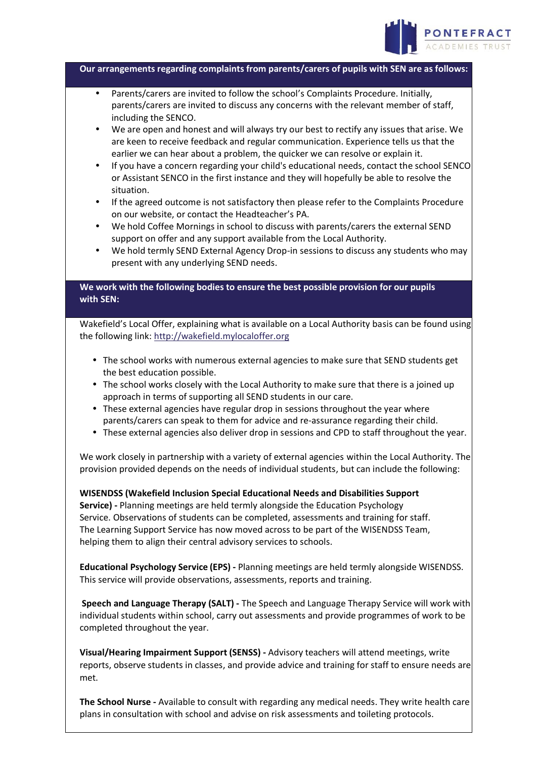

**Our arrangements regarding complaints from parents/carers of pupils with SEN are as follows:**

- Parents/carers are invited to follow the school's Complaints Procedure. Initially, parents/carers are invited to discuss any concerns with the relevant member of staff, including the SENCO.
- We are open and honest and will always try our best to rectify any issues that arise. We are keen to receive feedback and regular communication. Experience tells us that the earlier we can hear about a problem, the quicker we can resolve or explain it.
- If you have a concern regarding your child's educational needs, contact the school SENCO or Assistant SENCO in the first instance and they will hopefully be able to resolve the situation.
- If the agreed outcome is not satisfactory then please refer to the Complaints Procedure on our website, or contact the Headteacher's PA.
- We hold Coffee Mornings in school to discuss with parents/carers the external SEND support on offer and any support available from the Local Authority.
- We hold termly SEND External Agency Drop-in sessions to discuss any students who may present with any underlying SEND needs.

**We work with the following bodies to ensure the best possible provision for our pupils with SEN:**

Wakefield's Local Offer, explaining what is available on a Local Authority basis can be found using the following link: [http://wakefield.mylocaloffer.org](http://wakefield.mylocaloffer.org/)

- The school works with numerous external agencies to make sure that SEND students get the best education possible.
- The school works closely with the Local Authority to make sure that there is a joined up approach in terms of supporting all SEND students in our care.
- These external agencies have regular drop in sessions throughout the year where parents/carers can speak to them for advice and re-assurance regarding their child.
- These external agencies also deliver drop in sessions and CPD to staff throughout the year.

We work closely in partnership with a variety of external agencies within the Local Authority. The provision provided depends on the needs of individual students, but can include the following:

**WISENDSS (Wakefield Inclusion Special Educational Needs and Disabilities Support Service) -** Planning meetings are held termly alongside the Education Psychology Service. Observations of students can be completed, assessments and training for staff. The Learning Support Service has now moved across to be part of the WISENDSS Team, helping them to align their central advisory services to schools.

**Educational Psychology Service (EPS) -** Planning meetings are held termly alongside WISENDSS. This service will provide observations, assessments, reports and training.

**Speech and Language Therapy (SALT) -** The Speech and Language Therapy Service will work with individual students within school, carry out assessments and provide programmes of work to be completed throughout the year.

**Visual/Hearing Impairment Support (SENSS) -** Advisory teachers will attend meetings, write reports, observe students in classes, and provide advice and training for staff to ensure needs are met.

**The School Nurse -** Available to consult with regarding any medical needs. They write health care plans in consultation with school and advise on risk assessments and toileting protocols.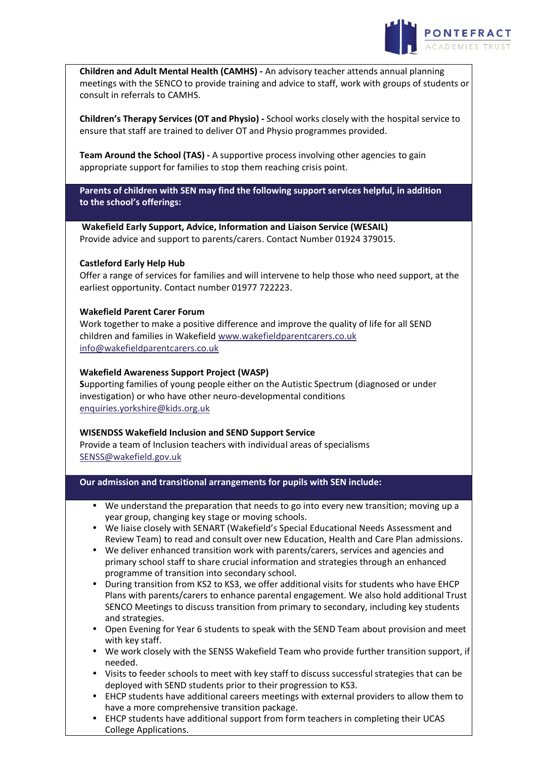

**Children and Adult Mental Health (CAMHS) -** An advisory teacher attends annual planning meetings with the SENCO to provide training and advice to staff, work with groups of students or consult in referrals to CAMHS.

**Children's Therapy Services (OT and Physio) -** School works closely with the hospital service to ensure that staff are trained to deliver OT and Physio programmes provided.

**Team Around the School (TAS) -** A supportive process involving other agencies to gain appropriate support for families to stop them reaching crisis point.

**Parents of children with SEN may find the following support services helpful, in addition to the school's offerings:**

**Wakefield Early Support, Advice, Information and Liaison Service (WESAIL)** Provide advice and support to parents/carers. Contact Number 01924 379015.

### **Castleford Early Help Hub**

Offer a range of services for families and will intervene to help those who need support, at the earliest opportunity. Contact number 01977 722223.

### **Wakefield Parent Carer Forum**

Work together to make a positive difference and improve the quality of life for all SEND children and families in Wakefield [www.wakefieldparentcarers.co.uk](http://www.wakefieldparentcarers.co.uk/) [info@wakefieldparentcarers.co.uk](mailto:info@wakefieldparentcarers.co.uk)

# **Wakefield Awareness Support Project (WASP)**

**S**upporting families of young people either on the Autistic Spectrum (diagnosed or under investigation) or who have other neuro-developmental conditions [enquiries.yorkshire@kids.org.uk](mailto:enquiries.yorkshire@kids.org.uk)

### **WISENDSS Wakefield Inclusion and SEND Support Service**

Provide a team of Inclusion teachers with individual areas of specialisms [SENSS@wakefield.gov.uk](mailto:SENSS@wakefield.gov.uk)

### **Our admission and transitional arrangements for pupils with SEN include:**

- We understand the preparation that needs to go into every new transition; moving up a year group, changing key stage or moving schools.
- We liaise closely with SENART (Wakefield's Special Educational Needs Assessment and Review Team) to read and consult over new Education, Health and Care Plan admissions.
- We deliver enhanced transition work with parents/carers, services and agencies and primary school staff to share crucial information and strategies through an enhanced programme of transition into secondary school.
- During transition from KS2 to KS3, we offer additional visits for students who have EHCP Plans with parents/carers to enhance parental engagement. We also hold additional Trust SENCO Meetings to discuss transition from primary to secondary, including key students and strategies.
- Open Evening for Year 6 students to speak with the SEND Team about provision and meet with key staff.
- We work closely with the SENSS Wakefield Team who provide further transition support, if needed.
- Visits to feeder schools to meet with key staff to discuss successful strategies that can be deployed with SEND students prior to their progression to KS3.
- EHCP students have additional careers meetings with external providers to allow them to have a more comprehensive transition package.
- EHCP students have additional support from form teachers in completing their UCAS College Applications.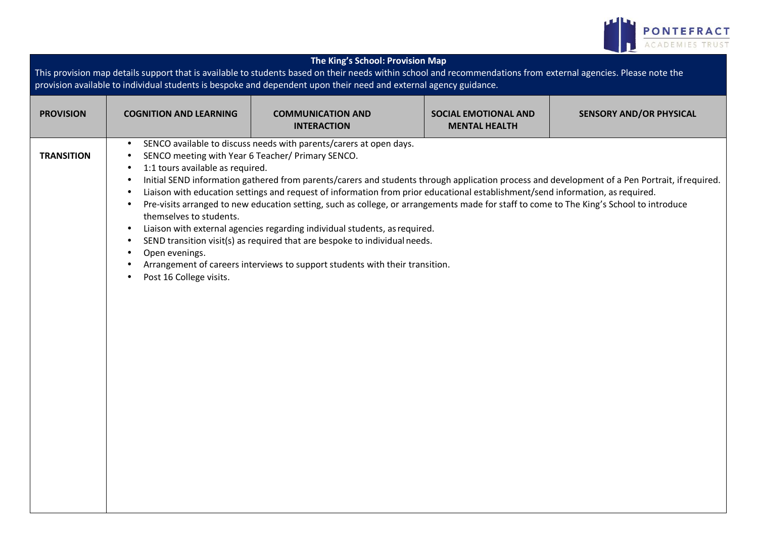

| The King's School: Provision Map<br>This provision map details support that is available to students based on their needs within school and recommendations from external agencies. Please note the<br>provision available to individual students is bespoke and dependent upon their need and external agency guidance. |                                                                                                                                                                                                                                                                                                              |                                                                                                                                                                                                                                                                                                                                                                                                                                                                                                                                                                                             |                                                     |                                                                                                                                                |
|--------------------------------------------------------------------------------------------------------------------------------------------------------------------------------------------------------------------------------------------------------------------------------------------------------------------------|--------------------------------------------------------------------------------------------------------------------------------------------------------------------------------------------------------------------------------------------------------------------------------------------------------------|---------------------------------------------------------------------------------------------------------------------------------------------------------------------------------------------------------------------------------------------------------------------------------------------------------------------------------------------------------------------------------------------------------------------------------------------------------------------------------------------------------------------------------------------------------------------------------------------|-----------------------------------------------------|------------------------------------------------------------------------------------------------------------------------------------------------|
| <b>PROVISION</b>                                                                                                                                                                                                                                                                                                         | <b>COGNITION AND LEARNING</b>                                                                                                                                                                                                                                                                                | <b>COMMUNICATION AND</b><br><b>INTERACTION</b>                                                                                                                                                                                                                                                                                                                                                                                                                                                                                                                                              | <b>SOCIAL EMOTIONAL AND</b><br><b>MENTAL HEALTH</b> | <b>SENSORY AND/OR PHYSICAL</b>                                                                                                                 |
| <b>TRANSITION</b>                                                                                                                                                                                                                                                                                                        | $\bullet$<br>SENCO meeting with Year 6 Teacher/ Primary SENCO.<br>$\bullet$<br>1:1 tours available as required.<br>$\bullet$<br>$\bullet$<br>$\bullet$<br>$\bullet$<br>themselves to students.<br>$\bullet$<br>$\bullet$<br>Open evenings.<br>$\bullet$<br>$\bullet$<br>Post 16 College visits.<br>$\bullet$ | SENCO available to discuss needs with parents/carers at open days.<br>Liaison with education settings and request of information from prior educational establishment/send information, as required.<br>Pre-visits arranged to new education setting, such as college, or arrangements made for staff to come to The King's School to introduce<br>Liaison with external agencies regarding individual students, as required.<br>SEND transition visit(s) as required that are bespoke to individual needs.<br>Arrangement of careers interviews to support students with their transition. |                                                     | Initial SEND information gathered from parents/carers and students through application process and development of a Pen Portrait, if required. |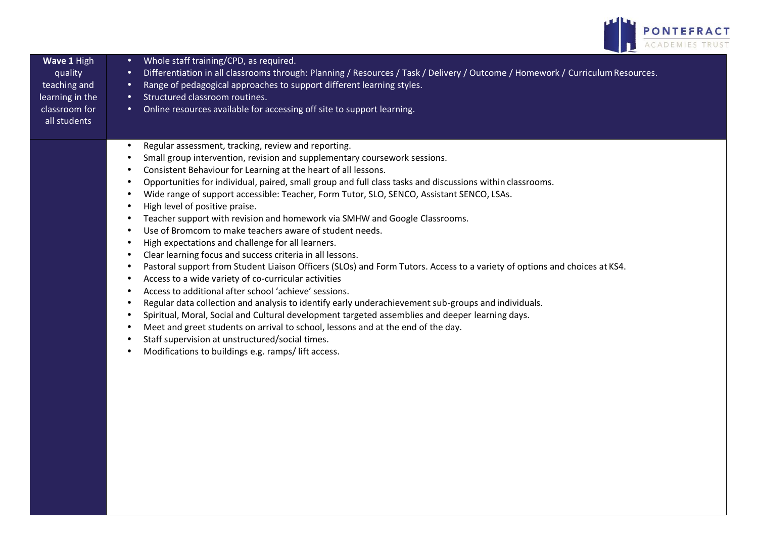

| Wave 1 High<br>quality<br>teaching and<br>learning in the<br>classroom for<br>all students | Whole staff training/CPD, as required.<br>$\bullet$<br>Differentiation in all classrooms through: Planning / Resources / Task / Delivery / Outcome / Homework / Curriculum Resources.<br>$\bullet$<br>Range of pedagogical approaches to support different learning styles.<br>$\bullet$<br>Structured classroom routines.<br>$\bullet$<br>Online resources available for accessing off site to support learning.<br>$\bullet$ |
|--------------------------------------------------------------------------------------------|--------------------------------------------------------------------------------------------------------------------------------------------------------------------------------------------------------------------------------------------------------------------------------------------------------------------------------------------------------------------------------------------------------------------------------|
|                                                                                            | Regular assessment, tracking, review and reporting.<br>$\bullet$<br>$\bullet$                                                                                                                                                                                                                                                                                                                                                  |
|                                                                                            | Small group intervention, revision and supplementary coursework sessions.<br>Consistent Behaviour for Learning at the heart of all lessons.<br>٠                                                                                                                                                                                                                                                                               |
|                                                                                            | Opportunities for individual, paired, small group and full class tasks and discussions within classrooms.<br>$\bullet$                                                                                                                                                                                                                                                                                                         |
|                                                                                            | Wide range of support accessible: Teacher, Form Tutor, SLO, SENCO, Assistant SENCO, LSAs.<br>٠                                                                                                                                                                                                                                                                                                                                 |
|                                                                                            | High level of positive praise.<br>$\bullet$                                                                                                                                                                                                                                                                                                                                                                                    |
|                                                                                            | Teacher support with revision and homework via SMHW and Google Classrooms.<br>$\bullet$                                                                                                                                                                                                                                                                                                                                        |
|                                                                                            | Use of Bromcom to make teachers aware of student needs.<br>$\bullet$                                                                                                                                                                                                                                                                                                                                                           |
|                                                                                            | High expectations and challenge for all learners.<br>$\bullet$                                                                                                                                                                                                                                                                                                                                                                 |
|                                                                                            | Clear learning focus and success criteria in all lessons.<br>$\bullet$                                                                                                                                                                                                                                                                                                                                                         |
|                                                                                            | Pastoral support from Student Liaison Officers (SLOs) and Form Tutors. Access to a variety of options and choices at KS4.<br>٠                                                                                                                                                                                                                                                                                                 |
|                                                                                            | Access to a wide variety of co-curricular activities<br>٠                                                                                                                                                                                                                                                                                                                                                                      |
|                                                                                            | Access to additional after school 'achieve' sessions.<br>$\bullet$                                                                                                                                                                                                                                                                                                                                                             |
|                                                                                            | Regular data collection and analysis to identify early underachievement sub-groups and individuals.<br>٠<br>Spiritual, Moral, Social and Cultural development targeted assemblies and deeper learning days.<br>$\bullet$                                                                                                                                                                                                       |
|                                                                                            | Meet and greet students on arrival to school, lessons and at the end of the day.<br>$\bullet$                                                                                                                                                                                                                                                                                                                                  |
|                                                                                            | Staff supervision at unstructured/social times.<br>$\bullet$                                                                                                                                                                                                                                                                                                                                                                   |
|                                                                                            | Modifications to buildings e.g. ramps/lift access.<br>$\bullet$                                                                                                                                                                                                                                                                                                                                                                |
|                                                                                            |                                                                                                                                                                                                                                                                                                                                                                                                                                |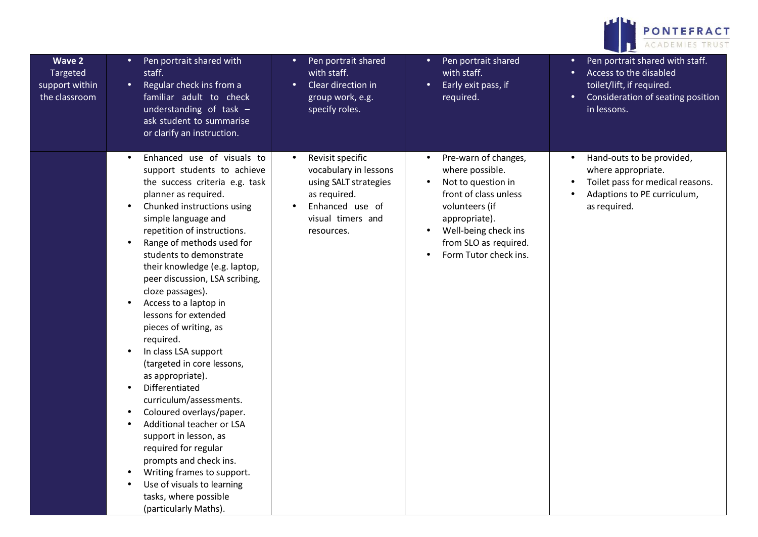

| <b>Wave 2</b><br>Targeted<br>support within<br>the classroom | Pen portrait shared with<br>$\bullet$<br>staff.<br>Regular check ins from a<br>$\bullet$<br>familiar adult to check<br>understanding of task $-$<br>ask student to summarise<br>or clarify an instruction.                                                                                                                                                                                                                                                                                                                                                                                                                                                                                                                                                                                                                                       | Pen portrait shared<br>with staff.<br>Clear direction in<br>group work, e.g.<br>specify roles.                                           | Pen portrait shared<br>$\bullet$<br>with staff.<br>Early exit pass, if<br>$\bullet$<br>required.                                                                                                                                                        | Pen portrait shared with staff.<br>Access to the disabled<br>$\bullet$<br>toilet/lift, if required.<br>Consideration of seating position<br>$\bullet$<br>in lessons. |
|--------------------------------------------------------------|--------------------------------------------------------------------------------------------------------------------------------------------------------------------------------------------------------------------------------------------------------------------------------------------------------------------------------------------------------------------------------------------------------------------------------------------------------------------------------------------------------------------------------------------------------------------------------------------------------------------------------------------------------------------------------------------------------------------------------------------------------------------------------------------------------------------------------------------------|------------------------------------------------------------------------------------------------------------------------------------------|---------------------------------------------------------------------------------------------------------------------------------------------------------------------------------------------------------------------------------------------------------|----------------------------------------------------------------------------------------------------------------------------------------------------------------------|
|                                                              | Enhanced use of visuals to<br>$\bullet$<br>support students to achieve<br>the success criteria e.g. task<br>planner as required.<br>Chunked instructions using<br>simple language and<br>repetition of instructions.<br>Range of methods used for<br>$\bullet$<br>students to demonstrate<br>their knowledge (e.g. laptop,<br>peer discussion, LSA scribing,<br>cloze passages).<br>Access to a laptop in<br>lessons for extended<br>pieces of writing, as<br>required.<br>In class LSA support<br>(targeted in core lessons,<br>as appropriate).<br>Differentiated<br>curriculum/assessments.<br>Coloured overlays/paper.<br>Additional teacher or LSA<br>support in lesson, as<br>required for regular<br>prompts and check ins.<br>Writing frames to support.<br>Use of visuals to learning<br>tasks, where possible<br>(particularly Maths). | Revisit specific<br>vocabulary in lessons<br>using SALT strategies<br>as required.<br>Enhanced use of<br>visual timers and<br>resources. | Pre-warn of changes,<br>$\bullet$<br>where possible.<br>Not to question in<br>$\bullet$<br>front of class unless<br>volunteers (if<br>appropriate).<br>Well-being check ins<br>$\bullet$<br>from SLO as required.<br>Form Tutor check ins.<br>$\bullet$ | Hand-outs to be provided,<br>where appropriate.<br>Toilet pass for medical reasons.<br>Adaptions to PE curriculum,<br>as required.                                   |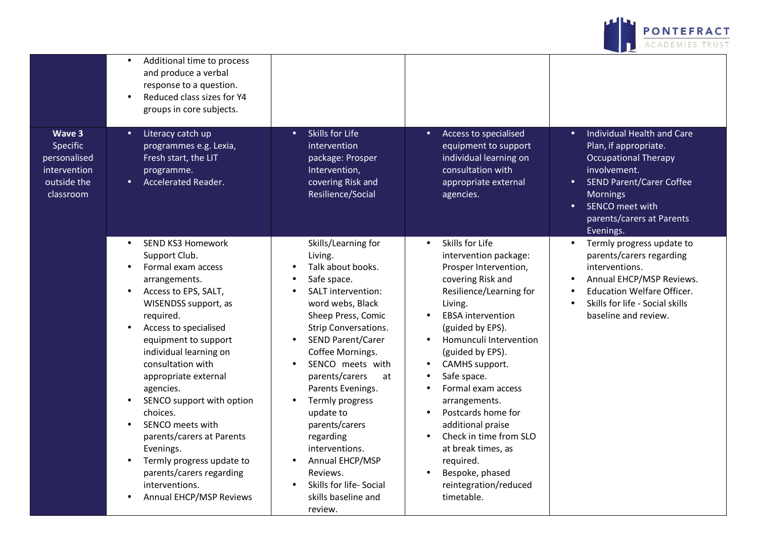

|                                                                                | Additional time to process<br>and produce a verbal<br>response to a question.<br>Reduced class sizes for Y4<br>groups in core subjects.                                                                                                                                                                                                                                                                                                                                                                                                                                 |                                                                                                                                                                                                                                                                                                                                                                                                                                                                                                  |                                                                                                                                                                                                                                                                                                                                                                                                                                                                                                                          |                                                                                                                                                                                                                                                              |
|--------------------------------------------------------------------------------|-------------------------------------------------------------------------------------------------------------------------------------------------------------------------------------------------------------------------------------------------------------------------------------------------------------------------------------------------------------------------------------------------------------------------------------------------------------------------------------------------------------------------------------------------------------------------|--------------------------------------------------------------------------------------------------------------------------------------------------------------------------------------------------------------------------------------------------------------------------------------------------------------------------------------------------------------------------------------------------------------------------------------------------------------------------------------------------|--------------------------------------------------------------------------------------------------------------------------------------------------------------------------------------------------------------------------------------------------------------------------------------------------------------------------------------------------------------------------------------------------------------------------------------------------------------------------------------------------------------------------|--------------------------------------------------------------------------------------------------------------------------------------------------------------------------------------------------------------------------------------------------------------|
| Wave 3<br>Specific<br>personalised<br>intervention<br>outside the<br>classroom | Literacy catch up<br>$\bullet$<br>programmes e.g. Lexia,<br>Fresh start, the LIT<br>programme.<br><b>Accelerated Reader.</b><br>$\bullet$                                                                                                                                                                                                                                                                                                                                                                                                                               | Skills for Life<br>$\bullet$<br>intervention<br>package: Prosper<br>Intervention,<br>covering Risk and<br>Resilience/Social                                                                                                                                                                                                                                                                                                                                                                      | Access to specialised<br>$\bullet$<br>equipment to support<br>individual learning on<br>consultation with<br>appropriate external<br>agencies.                                                                                                                                                                                                                                                                                                                                                                           | Individual Health and Care<br>$\bullet$<br>Plan, if appropriate.<br><b>Occupational Therapy</b><br>involvement.<br><b>SEND Parent/Carer Coffee</b><br>$\bullet$<br><b>Mornings</b><br>SENCO meet with<br>$\bullet$<br>parents/carers at Parents<br>Evenings. |
|                                                                                | <b>SEND KS3 Homework</b><br>$\bullet$<br>Support Club.<br>Formal exam access<br>arrangements.<br>Access to EPS, SALT,<br>$\bullet$<br>WISENDSS support, as<br>required.<br>Access to specialised<br>$\bullet$<br>equipment to support<br>individual learning on<br>consultation with<br>appropriate external<br>agencies.<br>SENCO support with option<br>choices.<br>SENCO meets with<br>$\bullet$<br>parents/carers at Parents<br>Evenings.<br>Termly progress update to<br>$\bullet$<br>parents/carers regarding<br>interventions.<br><b>Annual EHCP/MSP Reviews</b> | Skills/Learning for<br>Living.<br>Talk about books.<br>Safe space.<br><b>SALT</b> intervention:<br>word webs, Black<br>Sheep Press, Comic<br><b>Strip Conversations.</b><br><b>SEND Parent/Carer</b><br>Coffee Mornings.<br>SENCO meets with<br>$\bullet$<br>parents/carers<br>at<br>Parents Evenings.<br>Termly progress<br>$\bullet$<br>update to<br>parents/carers<br>regarding<br>interventions.<br>Annual EHCP/MSP<br>Reviews.<br>Skills for life- Social<br>skills baseline and<br>review. | Skills for Life<br>$\bullet$<br>intervention package:<br>Prosper Intervention,<br>covering Risk and<br>Resilience/Learning for<br>Living.<br><b>EBSA</b> intervention<br>(guided by EPS).<br>Homunculi Intervention<br>$\bullet$<br>(guided by EPS).<br>CAMHS support.<br>Safe space.<br>Formal exam access<br>arrangements.<br>Postcards home for<br>$\bullet$<br>additional praise<br>Check in time from SLO<br>$\bullet$<br>at break times, as<br>required.<br>Bespoke, phased<br>reintegration/reduced<br>timetable. | Termly progress update to<br>$\bullet$<br>parents/carers regarding<br>interventions.<br>Annual EHCP/MSP Reviews.<br><b>Education Welfare Officer.</b><br>Skills for life - Social skills<br>baseline and review.                                             |